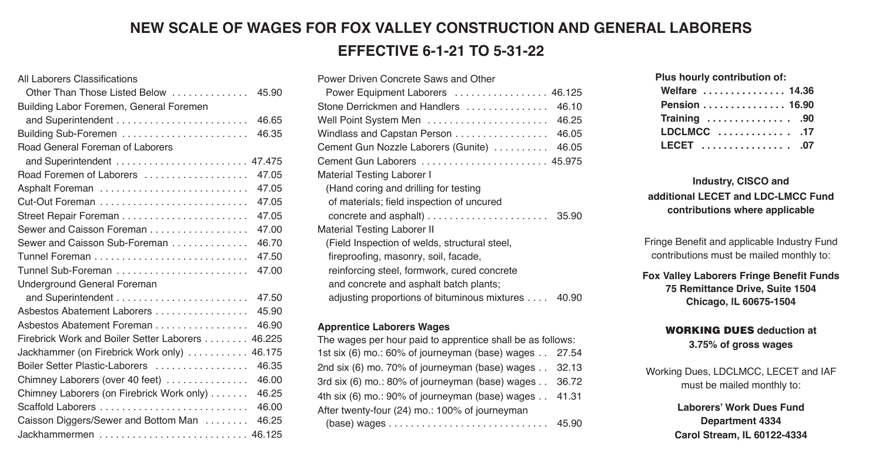### **NEW SCALE OF WAGES FOR FOX VALLEY CONSTRUCTION AND GENERAL LABORERS EFFECTIVE 6-1-21 TO 5-31-22**

### All Laborers Classifications

| Other Than Those Listed Below<br>45.90              |  |
|-----------------------------------------------------|--|
| Building Labor Foremen, General Foremen             |  |
| 46.65                                               |  |
| Building Sub-Foremen<br>46.35                       |  |
| Road General Foreman of Laborers                    |  |
| 47.475<br>and Superintendent                        |  |
| Road Foremen of Laborers<br>47.05                   |  |
| 47.05<br>Asphalt Foreman                            |  |
| 47.05                                               |  |
| 47.05                                               |  |
| 47.00<br>Sewer and Caisson Foreman                  |  |
| 46.70<br>Sewer and Caisson Sub-Foreman              |  |
| 47.50                                               |  |
| Tunnel Sub-Foreman<br>47.00                         |  |
| Underground General Foreman                         |  |
| 47.50                                               |  |
| Asbestos Abatement Laborers<br>45.90                |  |
| 46.90<br>Asbestos Abatement Foreman                 |  |
| 46.225<br>Firebrick Work and Boiler Setter Laborers |  |
| 46.175<br>Jackhammer (on Firebrick Work only)       |  |
| Boiler Setter Plastic-Laborers<br>46.35             |  |
| 46.00<br>Chimney Laborers (over 40 feet)            |  |
| Chimney Laborers (on Firebrick Work only)<br>46.25  |  |
| 46.00                                               |  |
| 46.25<br>Caisson Diggers/Sewer and Bottom Man       |  |
| 46.125<br>Jackhammermen                             |  |

| Power Driven Concrete Saws and Other               |
|----------------------------------------------------|
| Power Equipment Laborers  46.125                   |
| Stone Derrickmen and Handlers<br>46.10             |
| 46.25                                              |
| 46.05<br>Windlass and Capstan Person               |
| 46.05<br>Cement Gun Nozzle Laborers (Gunite)       |
| Cement Gun Laborers  45.975                        |
| Material Testing Laborer I                         |
| (Hand coring and drilling for testing              |
| of materials; field inspection of uncured          |
|                                                    |
| <b>Material Testing Laborer II</b>                 |
| (Field Inspection of welds, structural steel,      |
| fireproofing, masonry, soil, facade,               |
| reinforcing steel, formwork, cured concrete        |
| and concrete and asphalt batch plants;             |
| adjusting proportions of bituminous mixtures 40.90 |

### **Apprentice Laborers Wages**

The wages per hour paid to apprentice shall be as follows: 1st six (6) mo.: 60% of journeyman (base) wages . . 27.54 2nd six (6) mo. 70% of journeyman (base) wages . . 32.13 3rd six (6) mo.: 80% of journeyman (base) wages . . 36.72 4th six (6) mo.: 90% of journeyman (base) wages . . 41.31 After twenty-four (24) mo.: 100% of journeyman (base) wages . . . . . . . . . . . . . . . . . . . . . . . . . . . . . 45.90

| Plus hourly contribution of: |
|------------------------------|
| Welfare  14.36               |
| Pension 16.90                |
| Training  90                 |
| LDCLMCC  17                  |
| LECET 07                     |

**Plus hourly contribution of:** 

### **Industry, CISCO and additional LECET and LDC-LMCC Fund contributions where applicable**

Fringe Benefit and applicable Industry Fund contributions must be mailed monthly to:

**Fox Valley Laborers Fringe Benefit Funds 75 Remittance Drive, Suite 1504 Chicago, lL 60675-1504** 

### **WORKING DUES deduction at**

**3.75% of gross wages** 

Working Dues, LDCLMCC, LECET and IAF must be mailed monthly to:

> **Laborers' Work Dues Fund Department 4334 Carol Stream, IL 60122-4334**